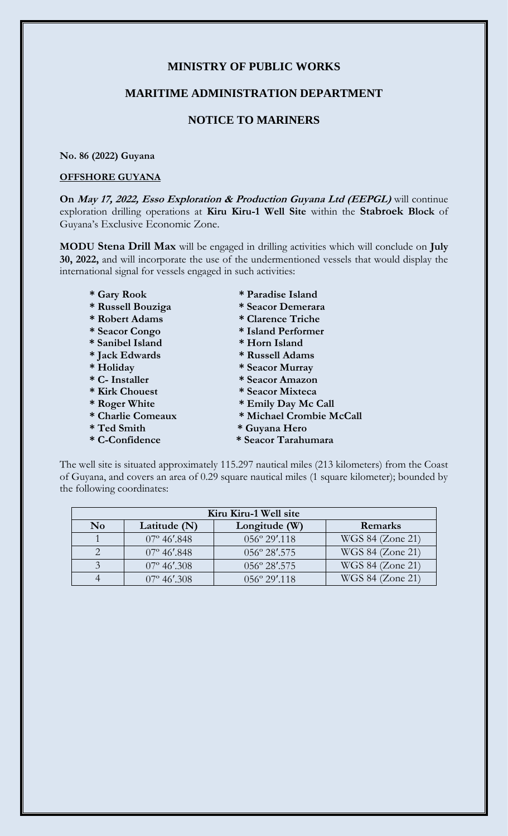# **MINISTRY OF PUBLIC WORKS**

### **MARITIME ADMINISTRATION DEPARTMENT**

# **NOTICE TO MARINERS**

#### **No. 86 (2022) Guyana**

#### **OFFSHORE GUYANA**

**On May 17, 2022, Esso Exploration & Production Guyana Ltd (EEPGL)** will continue exploration drilling operations at **Kiru Kiru-1 Well Site** within the **Stabroek Block** of Guyana's Exclusive Economic Zone.

**MODU Stena Drill Max** will be engaged in drilling activities which will conclude on **July 30, 2022,** and will incorporate the use of the undermentioned vessels that would display the international signal for vessels engaged in such activities:

- 
- 
- 
- 
- **\* Sanibel Island \* Horn Island**
- **\* Jack Edwards \* Russell Adams**
- 
- 
- 
- 
- 
- 
- 
- **\* Gary Rook \* Paradise Island**
- **\* Russell Bouziga \* Seacor Demerara**
- **\* Robert Adams \* Clarence Triche**
- **\* Seacor Congo \* Island Performer** 
	-
	-
	-
- **\* Holiday \* Seacor Murray \* C- Installer \* Seacor Amazon**
- **\* Kirk Chouest \* Seacor Mixteca**
- **\* Roger White \* Emily Day Mc Call**
- **\* Charlie Comeaux \* Michael Crombie McCall**
- **\* Ted Smith \* Guyana Hero**
- **\* C-Confidence \* Seacor Tarahumara**

The well site is situated approximately 115.297 nautical miles (213 kilometers) from the Coast of Guyana, and covers an area of 0.29 square nautical miles (1 square kilometer); bounded by the following coordinates:

| Kiru Kiru-1 Well site  |                        |                                 |                  |
|------------------------|------------------------|---------------------------------|------------------|
| $\mathbf{N}\mathbf{o}$ | Latitude $(N)$         | Longitude (W)                   | Remarks          |
|                        | $07^{\circ}$ 46'.848   | $056^{\circ} 29'$ .118          | WGS 84 (Zone 21) |
|                        | $07^{\circ}$ 46'.848   | $056^{\circ} 28^{\prime} 0.575$ | WGS 84 (Zone 21) |
|                        | $07^{\circ}$ 46'.308   | 056° 28'.575                    | WGS 84 (Zone 21) |
|                        | $07^{\circ} 46'$ , 308 | $0.56^{\circ} 29'$ .118         | WGS 84 (Zone 21) |